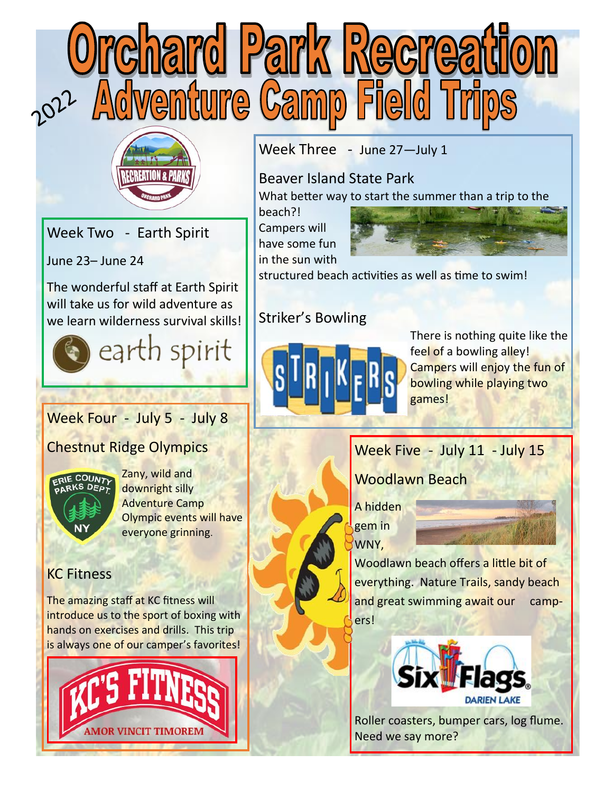



Week Two - Earth Spirit

June 23– June 24

The wonderful staff at Earth Spirit will take us for wild adventure as we learn wilderness survival skills!



## Week Four - July 5 - July 8

Chestnut Ridge Olympics



Zany, wild and downright silly Adventure Camp Olympic events will have everyone grinning.

## KC Fitness

The amazing staff at KC fitness will introduce us to the sport of boxing with hands on exercises and drills. This trip is always one of our camper's favorites!



Week Three - June 27-July 1

Beaver Island State Park What better way to start the summer than a trip to the

beach?! Campers will have some fun in the sun with



structured beach activities as well as time to swim!

## Striker's Bowling



There is nothing quite like the feel of a bowling alley! Campers will enjoy the fun of bowling while playing two games!

# Week Five - July 11 - July 15

Woodlawn Beach

A hidden gem in WNY,



Woodlawn beach offers a little bit of everything. Nature Trails, sandy beach and great swimming await our campers!



Roller coasters, bumper cars, log flume. Need we say more?